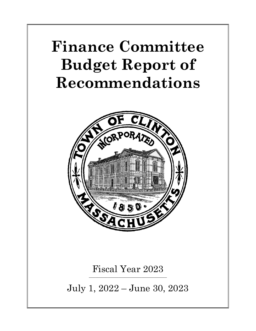## **Finance Committee Budget Report of Recommendations**



Fiscal Year 2023 \_\_\_\_\_\_\_\_\_\_\_\_\_\_\_\_\_\_\_\_\_\_\_\_\_\_\_\_\_\_\_\_\_\_\_\_\_

July 1, 2022 – June 30, 2023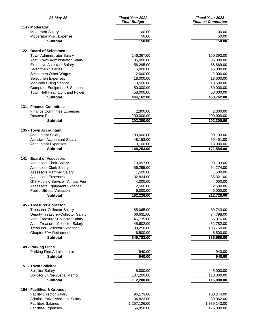| 26-May-22                                                                   | <b>Fiscal Year 2022</b><br><b>Final Budget</b> | Fiscal Year 2023<br><b>Finance Committee</b> |
|-----------------------------------------------------------------------------|------------------------------------------------|----------------------------------------------|
| 114 - Moderator                                                             |                                                |                                              |
| <b>Moderator Salary</b>                                                     | 100.00                                         | 100.00                                       |
| Moderator Misc. Expense                                                     | 50.00                                          | 50.00                                        |
| <b>Subtotal</b>                                                             | 150.00                                         | 150.00                                       |
| 122 - Board of Selectmen                                                    |                                                |                                              |
| Town Administrator Salary                                                   | 146,367.00                                     | 150,393.00                                   |
| Asst. Town Administrator Salary                                             | 85,000.00                                      | 85,000.00                                    |
| <b>Executive Assistant Salary</b>                                           | 56,295.00                                      | 66,869.00                                    |
| <b>Selectmen Salaries</b>                                                   | 15,000.00                                      | 15,000.00                                    |
| Selectmen Other Wages                                                       | 2,000.00                                       | 2,000.00                                     |
| Selectmen Expenses                                                          | 18,000.00                                      | 18,000.00                                    |
| <b>Medicaid Billing Service</b>                                             | 13,500.00                                      | 13,500.00                                    |
| <b>Computer Equipment &amp; Supplies</b><br>Town Hall Heat, Light and Power | 50,000.00                                      | 50,000.00<br>58,000.00                       |
| <b>Subtotal</b>                                                             | 58,000.00<br>444,162.00                        | 458,762.00                                   |
|                                                                             |                                                |                                              |
| 131 - Finance Committee                                                     |                                                |                                              |
| <b>Finance Committee Expenses</b>                                           | 2,300.00                                       | 2,300.00                                     |
| Reserve Fund                                                                | 200,000.00                                     | 200,000.00                                   |
| <b>Subtotal</b>                                                             | 202,300.00                                     | 202,300.00                                   |
| 135 - Town Accountant                                                       |                                                |                                              |
| <b>Accountant Salary</b>                                                    | 90,000.00                                      | 99,133.00                                    |
| <b>Assistant Accountant Salary</b>                                          | 48,153.00                                      | 59,451.00                                    |
| <b>Accountant Expenses</b>                                                  | 10,100.00                                      | 13,000.00                                    |
| <b>Subtotal</b>                                                             | 148,253.00                                     | 171,584.00                                   |
| 141 - Board of Assessors                                                    |                                                |                                              |
| <b>Assessors Chair Salary</b>                                               | 79,097.00                                      | 99,133.00                                    |
| <b>Assessors Clerk Salary</b>                                               | 56,295.00                                      | 64,274.00                                    |
| <b>Assessors Member Salary</b>                                              | 1,500.00                                       | 1,500.00                                     |
| <b>Assessors Expenses</b>                                                   | 32,834.00                                      | 35,321.00                                    |
| GIS Hosting Service - Annual Fee                                            | 4,000.00                                       | 4,000.00                                     |
| <b>Assessors Equipment Expense</b>                                          | 2,500.00                                       | 2,500.00                                     |
| <b>Public Utilities Valuation</b>                                           | 6,000.00                                       | 6,000.00                                     |
| <b>Subtotal</b>                                                             | 182,226.00                                     | 212,728.00                                   |
| 145 - Treasurer-Collector                                                   |                                                |                                              |
| <b>Treasurer-Collector Salary</b>                                           | 85,065.00                                      | 89,743.00                                    |
| Deputy Treasurer-Collector Salary                                           | 66,631.00                                      | 74,798.00                                    |
| Asst. Treasurer-Collector Salary                                            | 46,735.00                                      | 56,016.00                                    |
| Asst. Treasurer-Collector Salary                                            | 45,602.00                                      | 52,782.00                                    |
| <b>Treasurer-Collector Expenses</b>                                         | 99,250.00                                      | 105,750.00                                   |
| Chapter 59A Retirement                                                      | 6,500.00                                       | 6,500.00                                     |
| Subtotal                                                                    | 349,783.00                                     | 385,589.00                                   |
| 149 - Parking Fines                                                         |                                                |                                              |
| Parking Fine Administrator                                                  | 940.00                                         | 940.00                                       |
| <b>Subtotal</b>                                                             | 940.00                                         | 940.00                                       |
|                                                                             |                                                |                                              |
| 151 - Town Solicitor                                                        |                                                |                                              |
| <b>Solicitor Salary</b>                                                     | 5,000.00                                       | 5,000.00                                     |
| Solicitor Lit/Neg/Legal Memo<br><b>Subtotal</b>                             | 107,200.00<br>112,200.00                       | 110,000.00<br>115,000.00                     |
|                                                                             |                                                |                                              |
| 154 - Facilities & Grounds                                                  |                                                |                                              |
| <b>Facility Director Salary</b>                                             | 96,173.00                                      | 103,244.00                                   |
| Administrative Assistant Salary                                             | 34,823.00                                      | 39,062.00                                    |
| <b>Facilities Salaries</b>                                                  | 1,257,126.00                                   | 1,339,143.00                                 |
| <b>Facilities Expenses</b>                                                  | 164,950.00                                     | 176,000.00                                   |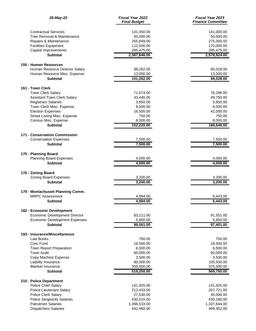| 26-May-22                                   | Fiscal Year 2022<br><b>Final Budget</b> | Fiscal Year 2023<br><b>Finance Committee</b> |
|---------------------------------------------|-----------------------------------------|----------------------------------------------|
| <b>Contractual Services</b>                 | 131,450.00                              | 141,000.00                                   |
| Tree Removal & Maintenance                  | 50,000.00                               | 50,000.00                                    |
| Repairs & Maintenance                       | 255,849.00                              | 275,000.00                                   |
| <b>Facilities Equipment</b>                 | 112,000.00                              | 170,000.00                                   |
| Capital Improvements                        | 285,475.00                              | 285,475.00                                   |
| <b>Subtotal</b>                             | 2,387,846.00                            | 2,578,924.00                                 |
| 155 - Human Resources                       |                                         |                                              |
| Human Resource Director Salary              | 88,262.00                               | 85,028.00                                    |
| Human Resource Misc. Expense                | 13,000.00                               | 13,000.00                                    |
| <b>Subtotal</b>                             | 101,262.00                              | 98,028.00                                    |
| 161 - Town Clerk                            |                                         |                                              |
| <b>Town Clerk Salary</b>                    | 71,674.00                               | 76,296.00                                    |
| <b>Assistant Town Clerk Salary</b>          | 43,446.00                               | 49,750.00                                    |
| <b>Registrars Salaries</b>                  | 3,850.00                                | 3,850.00                                     |
| Town Clerk Misc. Expense                    | 8,000.00                                | 8,000.00                                     |
| <b>Election Expenses</b>                    | 16,500.00                               | 42,000.00                                    |
| <b>Street Listing Misc. Expense</b>         | 750.00                                  | 750.00                                       |
| Census Misc. Expense                        | 8,000.00                                | 8,000.00                                     |
| <b>Subtotal</b>                             | 152,220.00                              | 188,646.00                                   |
| 171 - Conservation Commission               |                                         |                                              |
| <b>Conservation Expenses</b>                | 7,500.00                                | 7,500.00                                     |
| <b>Subtotal</b>                             | 7,500.00                                | 7,500.00                                     |
| 175 - Planning Board                        |                                         |                                              |
| Planning Board Expenses                     | 4,000.00                                | 4,000.00                                     |
| <b>Subtotal</b>                             | 4,000.00                                | 4,000.00                                     |
|                                             |                                         |                                              |
| 176 - Zoning Board<br>Zoning Board Expenses | 3,200.00                                | 3,200.00                                     |
| <b>Subtotal</b>                             | 3,200.00                                | 3,200.00                                     |
|                                             |                                         |                                              |
| 179 - Montachusett Planning Comm.           |                                         |                                              |
| <b>MRPC Assessment</b>                      | 4,984.00                                | 5,443.00                                     |
| <b>Subtotal</b>                             | 4,984.00                                | 5,443.00                                     |
| 182 - Economic Development                  |                                         |                                              |
| <b>Economic Development Director</b>        | 83,211.00                               | 91,551.00                                    |
| <b>Economic Development Expenses</b>        | 5,850.00                                | 5,850.00                                     |
| <b>Subtotal</b>                             | 89,061.00                               | 97,401.00                                    |
| 193 - Insurance/Miscellaneous               |                                         |                                              |
| Law Books                                   | 750.00                                  | 750.00                                       |
| Civic Fund                                  | 18,500.00                               | 18,500.00                                    |
| Town Report Preparation                     | 6,500.00                                | 6,500.00                                     |
| <b>Town Audit</b>                           | 60,000.00                               | 60,000.00                                    |
| Copy Machine Expense                        | 3,500.00                                | 3,500.00                                     |
| Liability Insurance                         | 80,000.00                               | 105,500.00                                   |
| <b>Blanket Insurance</b>                    | 350,000.00                              | 375,000.00                                   |
| <b>Subtotal</b>                             | 519,250.00                              | 569,750.00                                   |
| 210 - Police Department                     |                                         |                                              |
| Police Chief Salary                         | 141,925.00                              | 141,925.00                                   |
| Police Lieutenant Salary                    | 213,433.00                              | 207,721.00                                   |
| <b>Police Clerk Salary</b>                  | 27,530.00                               | 45,000.00                                    |
| <b>Police Sergeants Salaries</b>            | 430,015.00                              | 430,180.00                                   |
| <b>Patrolmen Salaries</b>                   | 1,396,533.00                            | 1,337,644.00                                 |
| <b>Dispatchers Salaries</b>                 | 442,960.00                              | 499,352.00                                   |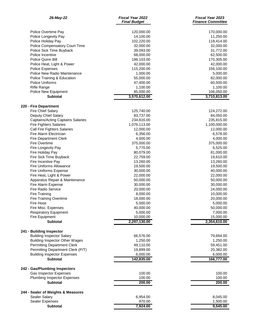| 26-May-22                                | Fiscal Year 2022<br><b>Final Budget</b> | <b>Fiscal Year 2023</b><br><b>Finance Committee</b> |
|------------------------------------------|-----------------------------------------|-----------------------------------------------------|
| Police Overtime Pay                      | 120,000.00                              | 170,000.00                                          |
| Police Longevity Pay                     | 14,100.00                               | 11,250.00                                           |
| Police Holiday Pay                       | 102,220.00                              | 118,414.00                                          |
| Police Compensatory Court Time           | 32,000.00                               | 32,000.00                                           |
| Police Sick Time Buyback                 | 39,093.00                               | 31,772.00                                           |
| Police Incentive                         | 68,000.00                               | 62,500.00                                           |
| Police Quinn Bill                        | 196,103.00                              | 170,305.00                                          |
| Police Heat, Light & Power               | 42,000.00                               | 42,000.00                                           |
| <b>Police Expenses</b>                   | 115,200.00                              | 156,100.00                                          |
| Police New Radio Maintenance             | 1,000.00                                | 5,000.00                                            |
| Police Training & Education              | 55,000.00                               | 82,000.00                                           |
| Police Uniforms                          | 47,400.00                               | 60,500.00                                           |
| <b>Rifle Range</b>                       | 1,100.00                                | 1,100.00                                            |
| Police New Equipment                     | 85,000.00                               | 106,050.00                                          |
| <b>Subtotal</b>                          | 3,570,612.00                            | 3,710,813.00                                        |
| 220 - Fire Department                    |                                         |                                                     |
| <b>Fire Chief Salary</b>                 | 125,740.00                              | 124,272.00                                          |
| Deputy Chief Salary                      | 83,737.00                               | 84,050.00                                           |
| <b>Captains/Acting Captains Salaries</b> | 234,816.00                              | 235,815.00                                          |
| <b>Fire Fighters Salaries</b>            | 1,076,113.00                            | 1,100,000.00                                        |
| Call Fire Fighters Salaries              | 12,000.00                               | 12,000.00                                           |
| Fire Alarm Electrician                   | 6,356.00                                | 6,578.00                                            |
| <b>Fire Department Clerk</b>             | 4,000.00                                | 4,000.00                                            |
| <b>Fire Overtime</b>                     | 375,000.00                              | 375,000.00                                          |
| Fire Longevity Pay                       | 5,770.00                                | 6,525.00                                            |
| Fire Holiday Pay                         | 80,079.00                               | 81,000.00                                           |
| Fire Sick Time Buyback                   | 22,759.00                               | 19,610.00                                           |
| Fire Incentive Pay                       | 13,260.00                               | 13,260.00                                           |
| Fire Uniforms Allowance                  | 19,500.00                               | 19,500.00                                           |
| <b>Fire Uniforms Expense</b>             | 30,000.00                               | 40,000.00                                           |
| Fire Heat, Light & Power                 | 22,000.00                               | 22,000.00                                           |
| Apparatus Repair & Maintenance           | 50,000.00                               | 50,000.00                                           |
| Fire Alarm Expense                       | 30,000.00                               | 30,000.00                                           |
| <b>Fire Radio Service</b>                | 20,000.00                               | 24,000.00                                           |
| Fire Training                            | 8,000.00                                | 10,000.00                                           |
| <b>Fire Training Overtime</b>            | 18,000.00                               | 20,000.00                                           |
| <b>Fire Hose</b>                         | 5,000.00                                | 5,000.00                                            |
| Fire Misc. Expenses                      | 40,000.00                               | 50,000.00                                           |
| <b>Respiratory Equipment</b>             | 5,000.00                                | 7,000.00                                            |
| Fire Equipment                           | 10,000.00                               | 15,000.00                                           |
| <b>Subtotal</b>                          | 2,297,130.00                            | 2,354,610.00                                        |
| 241 - Building Inspector                 |                                         |                                                     |
| <b>Building Inspector Salary</b>         | 66,576.00                               | 79,694.00                                           |
| <b>Building Inspector Other Wages</b>    | 1,250.00                                | 1,250.00                                            |
| <b>Permitting Department Clerk</b>       | 49,110.00                               | 59,451.00                                           |
| Permitting Department Clerk (P/T)        | 19,899.00                               | 20,382.00                                           |
| <b>Building Inspector Expenses</b>       | 6,000.00                                | 6,000.00                                            |
| <b>Subtotal</b>                          | 142,835.00                              | 166,777.00                                          |
| 242 - Gas/Plumbing Inspectors            |                                         |                                                     |
| Gas Inspector Expenses                   | 100.00                                  | 100.00                                              |
| <b>Plumbing Inspector Expenses</b>       | 100.00                                  | 100.00                                              |
| <b>Subtotal</b>                          | 200.00                                  | 200.00                                              |
| 244 - Sealer of Weights & Measures       |                                         |                                                     |
| Sealer Salary                            | 6,954.00                                | 8,045.00                                            |
| Sealer Expenses                          | 970.00                                  | 1,500.00                                            |
| Subtotal                                 | 7,924.00                                | 9,545.00                                            |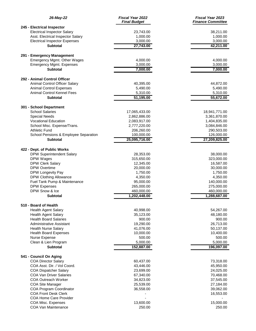| 26-May-22                                            | <b>Fiscal Year 2022</b><br><b>Final Budget</b> | <b>Fiscal Year 2023</b><br><b>Finance Committee</b> |
|------------------------------------------------------|------------------------------------------------|-----------------------------------------------------|
| 245 - Electrical Inspector                           |                                                |                                                     |
| <b>Electrical Inspector Salary</b>                   | 23,743.00                                      | 38,211.00                                           |
| Asst. Electrical Inspector Salary                    | 1,000.00                                       | 1,000.00                                            |
| <b>Electrical Inspector Expenses</b>                 | 3,000.00                                       | 3,000.00                                            |
| <b>Subtotal</b>                                      | 27,743.00                                      | 42,211.00                                           |
| 291 - Emergency Management                           |                                                |                                                     |
| Emergency Mgmt. Other Wages                          | 4,000.00                                       | 4,000.00                                            |
| <b>Emergency Mgmt. Expenses</b>                      | 3,000.00                                       | 3,000.00                                            |
| <b>Subtotal</b>                                      | 7,000.00                                       | 7,000.00                                            |
| 292 - Animal Control Officer                         |                                                |                                                     |
| Animal Control Officer Salary                        | 40,395.00                                      | 44,872.00                                           |
| <b>Animal Control Expenses</b>                       | 5,490.00                                       | 5,490.00                                            |
| Animal Control Kennel Fees                           | 5,310.00                                       | 5,310.00                                            |
| <b>Subtotal</b>                                      | 51,195.00                                      | 55,672.00                                           |
| 301 - School Department                              |                                                |                                                     |
| <b>School Salaries</b>                               | 17,065,433.00                                  | 18,941,771.00                                       |
| <b>Special Needs</b>                                 | 2,862,886.00                                   | 3,361,870.00                                        |
| <b>Vocational Education</b>                          | 2,083,917.00                                   | 1,404,835.00                                        |
| School Misc. Expense/Trans.                          | 2,777,220.00                                   | 3,084,846.00                                        |
| Athletic Fund                                        | 206,260.00                                     | 290,503.00                                          |
| School Pensions & Employee Separation                | 100,000.00                                     | 126,000.00                                          |
| <b>Subtotal</b>                                      | 25,095,716.00                                  | 27,209,825.00                                       |
| 422 - Dept. of Public Works                          |                                                |                                                     |
| <b>DPW Superintendent Salary</b>                     | 28,353.00                                      | 38,000.00                                           |
| DPW Wages                                            | 315,650.00                                     | 323,000.00                                          |
| <b>DPW Clerk Salary</b>                              | 12,345.00                                      | 16,587.00                                           |
| <b>DPW Overtime</b>                                  | 20,000.00                                      | 30,000.00                                           |
| DPW Longevity Pay                                    | 1,750.00                                       | 1,750.00                                            |
| <b>DPW Clothing Allowance</b>                        | 4,350.00                                       | 4,350.00                                            |
| Fuel Tank Pump & Maintenance                         | 95,000.00                                      | 140,000.00                                          |
| <b>DPW Expenses</b>                                  | 265,000.00                                     | 275,000.00                                          |
| DPW Snow & Ice                                       | 460,000.00                                     | 460,000.00                                          |
| <b>Subtotal</b>                                      | 1,202,448.00                                   | 1,288,687.00                                        |
| 510 - Board of Health                                |                                                |                                                     |
| <b>Health Agent Salary</b>                           | 40,998.00                                      | 54,267.00                                           |
| <b>Health Agent Salary</b>                           | 35,123.00                                      | 48,180.00                                           |
| <b>Health Board Salaries</b>                         | 900.00                                         | 900.00                                              |
| <b>Administrative Assistant</b>                      | 19,290.00                                      | 26,713.00                                           |
| <b>Health Nurse Salary</b>                           | 41,076.00                                      | 50,137.00                                           |
| <b>Health Board Expenses</b>                         | 10,000.00                                      | 10,400.00                                           |
| Nurse Expense                                        | 500.00                                         | 500.00                                              |
| Clean & Lien Program<br><b>Subtotal</b>              | 5,000.00<br>152,887.00                         | 5,000.00<br>196,097.00                              |
|                                                      |                                                |                                                     |
| 541 - Council On Aging<br><b>COA Director Salary</b> | 60,437.00                                      | 73,318.00                                           |
| COA Asst. Dir. / Vol Coord.                          | 43,446.00                                      | 45,950.00                                           |
| <b>COA Dispatcher Salary</b>                         | 23,699.00                                      | 24,025.00                                           |
| <b>COA Van Driver Salaries</b>                       | 67,340.00                                      | 70,468.00                                           |
| <b>COA Outreach Worker</b>                           | 34,823.00                                      | 37,545.00                                           |
| <b>COA Site Manager</b>                              | 25,539.00                                      | 27,184.00                                           |
| <b>COA Program Coordinator</b>                       | 36,558.00                                      | 39,062.00                                           |
| <b>COA Front Desk Clerk</b>                          |                                                | 16,553.00                                           |
| COA Home Care Provider                               |                                                |                                                     |
| COA Misc. Expenses                                   | 13,600.00                                      | 15,000.00                                           |
| <b>COA Van Maintenance</b>                           | 250.00                                         | 250.00                                              |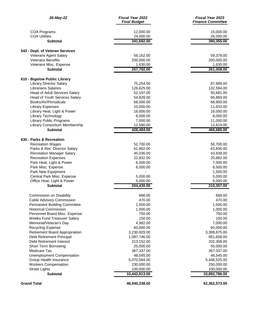| 26-May-22                               | Fiscal Year 2022<br><b>Final Budget</b> | <b>Fiscal Year 2023</b><br><b>Finance Committee</b> |
|-----------------------------------------|-----------------------------------------|-----------------------------------------------------|
| COA Programs                            | 12,000.00                               | 15,000.00                                           |
| <b>COA Utilities</b>                    | 24,000.00                               | 26,000.00                                           |
| <b>Subtotal</b>                         | 341,692.00                              | 390,355.00                                          |
| 543 - Dept. of Veteran Services         |                                         |                                                     |
| Veterans Agent Salary                   | 56,162.00                               | 59,378.00                                           |
| <b>Veterans Benefits</b>                | 200,000.00                              | 200,000.00                                          |
| Veterans Misc. Expense                  | 1,630.00                                | 1,630.00                                            |
| <b>Subtotal</b>                         | 257,792.00                              | 261,008.00                                          |
| 610 - Bigelow Public Library            |                                         |                                                     |
| <b>Library Director Salary</b>          | 75,254.00                               | 87,989.00                                           |
| <b>Librarians Salaries</b>              | 126,625.00                              | 132,594.00                                          |
| <b>Head of Adult Services Salary</b>    | 52,197.00                               | 50,681.00                                           |
| <b>Head of Youth Services Salary</b>    | 54,828.00                               | 66,869.00                                           |
| Books/AV/Periodicals                    | 68,000.00                               | 68,900.00                                           |
| <b>Library Expenses</b>                 | 10,000.00                               | 11,833.00                                           |
| Library Heat, Light & Power             | 16,000.00                               | 16,000.00                                           |
| Library Technology                      | 6,000.00                                | 8,000.00                                            |
| <b>Library Public Programs</b>          | 7,000.00                                | 11,000.00                                           |
| Library Consortium Membership           | 12,580.00                               | 12,819.00                                           |
| <b>Subtotal</b>                         | 428,484.00                              | 466,685.00                                          |
| 630 - Parks & Recreation                |                                         |                                                     |
| <b>Recreation Wages</b>                 | 52,700.00                               | 56,700.00                                           |
| Parks & Rec. Director Salary            | 61,862.00                               | 63,836.00                                           |
| <b>Recreation Manager Salary</b>        | 45,036.00                               | 43,939.00                                           |
| <b>Recreation Expenses</b>              | 22,832.00                               | 20,882.00                                           |
| Park Heat, Light & Power                | 6,000.00                                | 7,000.00                                            |
| Park Misc. Expense                      | 6,000.00                                | 6,500.00                                            |
| Park New Equipment                      |                                         | 1,500.00                                            |
| Central Park Misc. Expense              | 5,000.00                                | 5,000.00                                            |
| Office Heat, Light & Power              | 5,000.00                                | 5,000.00                                            |
| <b>Subtotal</b>                         | 204,430.00                              | 210,357.00                                          |
| Commission on Disability                | 668.00                                  | 668.00                                              |
| Cable Advisory Commission               | 470.00                                  | 470.00                                              |
| <b>Permanent Building Committee</b>     | 1,500.00                                | 1,500.00                                            |
| <b>Historical Commission</b>            | 1,000.00                                | 1,000.00                                            |
| Personnel Board Misc. Expense           | 750.00                                  | 750.00                                              |
| Weeks Fund Treasurer Salary             | 150.00                                  | 150.00                                              |
| Memorial/Veteran's Day                  | 4,982.00                                | 7,000.00                                            |
| <b>Recycling Expense</b>                | 60,000.00                               | 60,000.00                                           |
| <b>Retirement Board Appropriation</b>   | 3,230,929.00                            | 3,399,875.00                                        |
| Debt Retirement Principal               | 1,087,746.00                            | 951,658.00                                          |
| Debt Retirement Interest                | 213,152.00                              | 202,308.00                                          |
| Short Term Borrowing                    | 25,000.00                               | 55,000.00                                           |
| Medicare Tax                            | 367,337.00                              | 367,337.00                                          |
| <b>Unemployment Compensation</b>        | 48,545.00                               | 48,545.00                                           |
| Group Health Insurance                  | 5,070,584.00                            | 5,446,525.00                                        |
| <b>Workers Compensation</b>             | 230,000.00                              | 250,000.00                                          |
| <b>Street Lights</b><br><b>Subtotal</b> | 100,000.00<br>10,442,813.00             | 100,000.00<br>10,892,786.00                         |
|                                         |                                         |                                                     |
| <b>Grand Total</b>                      | 48,940,238.00                           | 52,362,573.00                                       |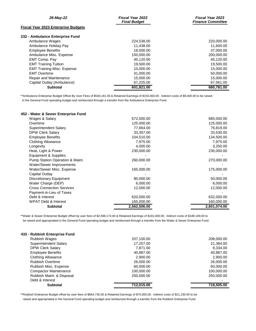| 26-May-22                                  | <b>Fiscal Year 2022</b><br><b>Final Budget</b> | <b>Fiscal Year 2023</b><br><b>Finance Committee</b> |
|--------------------------------------------|------------------------------------------------|-----------------------------------------------------|
| <b>Fiscal Year 2023 Enterprise Budgets</b> |                                                |                                                     |
| 232 - Ambulance Enterprise Fund            |                                                |                                                     |
| Ambulance Wages                            | 224,538.00                                     | 220,000.00                                          |
| Ambulance Holiday Pay                      | 11.438.00                                      | 11,600.00                                           |
| <b>Employee Benefits</b>                   | 18,000,00                                      | 37,000.00                                           |
| Ambulance Misc. Expense                    | 150.000.00                                     | 200,000.00                                          |
| EMT Comp. Pay                              | 45.120.00                                      | 45,120.00                                           |
| <b>EMT Training Tuition</b>                | 19.500.00                                      | 19,500.00                                           |
| <b>EMT Training Misc. Expense</b>          | 10.000.00                                      | 15,000.00                                           |
| <b>EMT Overtime</b>                        | 41.000.00                                      | 50,000.00                                           |
| Repair and Maintenance                     | 15,000.00                                      | 15,000.00                                           |
| Capital Outlay (Ambulance)                 | 67,225.00                                      | 67,561.00                                           |
| <b>Subtotal</b>                            | 601.821.00                                     | 680.781.00                                          |

\*\*Ambulance Enterprise Budget Offset By User Fees of \$540,181.00 & Retained Earnings of \$150,000.00 . Indirect costs of \$9,400.00 to be raised in the General Fund operating budget and reimbursed through a transfer from the Ambulance Enterprise Fund.

## **452 - Water & Sewer Enterprise Fund**

| Wages & Salary                   | 672,000.00   | 685,000.00   |
|----------------------------------|--------------|--------------|
| Overtime                         | 125,000.00   | 125,000.00   |
| Superintendent Salary            | 77,664.00    | 76,819.00    |
| <b>DPW Clerk Salary</b>          | 33,357.00    | 33,530.00    |
| <b>Employee Benefits</b>         | 104,510.00   | 134,500.00   |
| <b>Clothing Allowance</b>        | 7,975.00     | 7,975.00     |
| Longevity                        | 4,000.00     | 3,250.00     |
| Heat, Light & Power              | 230,000.00   | 230,000.00   |
| Equipment & Supplies             |              |              |
| Pump Station Operation & Maint.  | 260,000.00   | 270,000.00   |
| <b>Water/Sewer Improvements</b>  |              |              |
| Water/Sewer Misc. Expense        | 165,000.00   | 175,000.00   |
| Capital Outlay                   |              |              |
| Discretionary Equipment          | 80,000.00    | 50,000.00    |
| Water Charge (DEP)               | 6,000.00     | 6,000.00     |
| <b>Cross Connection Services</b> | 12,000.00    | 12,000.00    |
| Payment-in-Lieu of Taxes         |              |              |
| Debt & Interest                  | 620,000.00   | 632,000.00   |
| <b>WPAT Debt &amp; Interest</b>  | 165,000.00   | 160,000.00   |
| <b>Subtotal</b>                  | 2,562,506.00 | 2,601,074.00 |

\*\*Water & Sewer Enterprise Budget offset by user fees of \$2,598,174.00 & Retained Earnings of \$191,000.00. Indirect costs of \$188,100.00 to be raised and appropriated in the General Fund operating budget and reimbursed through a transfer from the Water & Sewer Enterprise Fund.

| 433 - Rubbish Enterprise Fund |            |            |
|-------------------------------|------------|------------|
| Rubbish Wages                 | 207,100.00 | 208,000.00 |
| Superintendent Salary         | 17,257.00  | 21,384.00  |
| <b>DPW Clerk Salary</b>       | 7.871.00   | 9,334.00   |
| <b>Employee Benefits</b>      | 40,887.00  | 40,887.00  |
| <b>Clothing Allowance</b>     | 2,900.00   | 2,900.00   |
| <b>Rubbish Overtime</b>       | 26,000.00  | 26,000.00  |
| Rubbish Misc. Expense         | 60,000,00  | 60,000.00  |
| <b>Compactor Maintenance</b>  | 100,000.00 | 100,000.00 |
| Rubbish Maint. & Disposal     | 250,000.00 | 250,000.00 |
| Debt & Interest               |            |            |
| <b>Subtotal</b>               | 712,015.00 | 718,505.00 |
|                               |            |            |

\*\*Rubbish Enterprise Budget offset by user fees of \$664,735.00 & Retained Earnings of \$75,000.00. Indirect costs of \$21,230.00 to be raised and appropriated in the General Fund operating budget and reimbursed through a transfer from the Rubbish Enterprise Fund.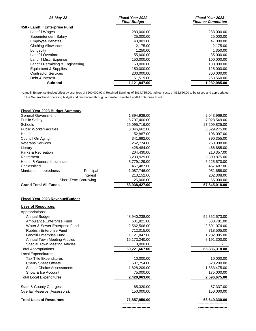| 26-May-22                         | <b>Fiscal Year 2022</b><br><b>Final Budget</b> | <b>Fiscal Year 2023</b><br><b>Finance Committee</b> |
|-----------------------------------|------------------------------------------------|-----------------------------------------------------|
| 458 - Landfill Enterprise Fund    |                                                |                                                     |
| Landfill Wages                    | 283,000,00                                     | 283,000.00                                          |
| Superintendent Salary             | 25,000.00                                      | 25,000.00                                           |
| <b>Employee Benefits</b>          | 43.903.00                                      | 47,000.00                                           |
| <b>Clothing Allowance</b>         | 2.175.00                                       | 2,175.00                                            |
| Longevity                         | 1,250.00                                       | 1,350.00                                            |
| Landfill Overtime                 | 55,000,00                                      | 35,000.00                                           |
| Landfill Misc. Expense            | 150,000.00                                     | 100,000.00                                          |
| Landfill Permitting & Engineering | 150.000.00                                     | 100.000.00                                          |
| Equipment & Supplies              | 150,000.00                                     | 125,000.00                                          |
| <b>Contractor Services</b>        | 200,000,00                                     | 300,000.00                                          |
| Debt & Interest                   | 61,519.00                                      | 263,560.00                                          |
| <b>Subtotal</b>                   | 1,121,847.00                                   | 1.282.085.00                                        |

\*\*Landfill Enterprise Budget offset by user fees of \$500,000.00 & Retained Earnings of \$814,735.00. Indirect costs of \$32,650.00 to be raised and appropriated in the General Fund operating budget and reimbursed through a transfer from the Landfill Enterprise Fund.

| <b>Fiscal Year 2023 Budget Summary</b> |                             |               |               |
|----------------------------------------|-----------------------------|---------------|---------------|
| <b>General Government</b>              |                             | 1,894,939.00  | 2,043,969.00  |
| <b>Public Safety</b>                   |                             | 6,707,400.00  | 7,028,549.00  |
| <b>Schools</b>                         |                             | 25,095,716.00 | 27,209,825.00 |
| <b>Public Works/Facilities</b>         |                             | 8,046,662.00  | 8,529,275.00  |
| <b>Health</b>                          |                             | 152,887.00    | 196,097.00    |
| Council On Aging                       |                             | 341,692.00    | 390,355.00    |
| <b>Veterans Services</b>               |                             | 262,774.00    | 268,008.00    |
| Library                                |                             | 428.484.00    | 466,685.00    |
| Parks & Recreation                     |                             | 204,430.00    | 210,357.00    |
| Retirement                             |                             | 3,230,929.00  | 3,399,875.00  |
| Health & General Insurance             |                             | 5,779,129.00  | 6,225,570.00  |
| Unclassified                           |                             | 467,487.00    | 467,487.00    |
| Municipal Indebtedness                 | Principal                   | 1,087,746.00  | 951,658.00    |
|                                        | Interest                    | 213.152.00    | 202,308.00    |
|                                        | <b>Short Term Borrowing</b> | 25,000.00     | 55,000.00     |
| <b>Grand Total All Funds</b>           |                             | 53,938,427.00 | 57,645,018.00 |

## **Fiscal Year 2023 Revenue/Budget**

| <b>Uses of Resources:</b>            |               |               |
|--------------------------------------|---------------|---------------|
| Appropriations:                      |               |               |
| Annual Budget                        | 48,940,238.00 | 52,362,573.00 |
| Ambulance Enterprise Fund            | 601.821.00    | 680,781.00    |
| Water & Sewer Enterprise Fund        | 2,562,506.00  | 2,601,074.00  |
| <b>Rubbish Enterprise Fund</b>       | 712,015.00    | 718,505.00    |
| Landfill Enterprise Fund             | 1,121,847.00  | 1,282,085.00  |
| <b>Annual Town Meeting Articles</b>  | 15,173,240.00 | 8,191,300.00  |
| <b>Special Town Meeting Articles</b> | 110,000.00    |               |
| <b>Total Appropriations</b>          | 69,221,667.00 | 65,836,318.00 |
| Local Expenditures:                  |               |               |
| <b>Tax Title Expenditures</b>        | 10,000.00     | 10,000.00     |
| <b>Cherry Sheet Offsets</b>          | 507,754.00    | 528,200.00    |
| <b>School Choice Assessments</b>     | 1,828,209.00  | 1,883,475.00  |
| Snow & Ice Account                   | 75,000.00     | 175,000.00    |
| <b>Total Local Expenditures</b>      | 2,420,963.00  | 2,596,675.00  |
| State & County Charges:              | 65,320.00     | 57,337.00     |
| Overlay Reserve (Assessors):         | 150,000.00    | 150,000.00    |
| <b>Total Uses of Resources</b>       | 71,857,950.00 | 68,640,330.00 |
|                                      |               |               |